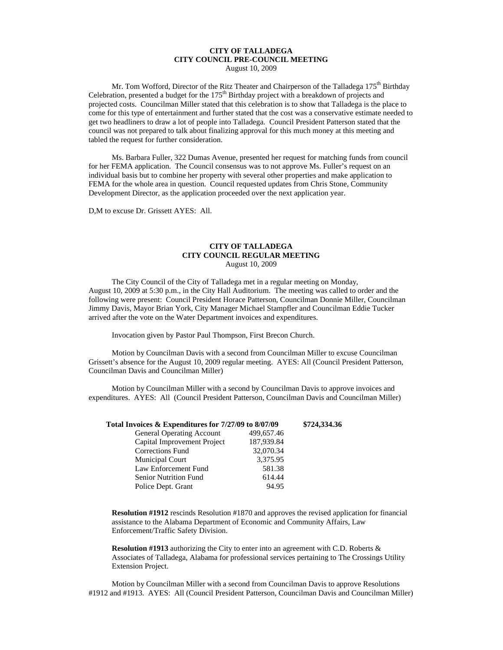## **CITY OF TALLADEGA CITY COUNCIL PRE-COUNCIL MEETING**

August 10, 2009

Mr. Tom Wofford, Director of the Ritz Theater and Chairperson of the Talladega 175<sup>th</sup> Birthday Celebration, presented a budget for the  $175<sup>th</sup>$  Birthday project with a breakdown of projects and projected costs. Councilman Miller stated that this celebration is to show that Talladega is the place to come for this type of entertainment and further stated that the cost was a conservative estimate needed to get two headliners to draw a lot of people into Talladega. Council President Patterson stated that the council was not prepared to talk about finalizing approval for this much money at this meeting and tabled the request for further consideration.

Ms. Barbara Fuller, 322 Dumas Avenue, presented her request for matching funds from council for her FEMA application. The Council consensus was to not approve Ms. Fuller's request on an individual basis but to combine her property with several other properties and make application to FEMA for the whole area in question. Council requested updates from Chris Stone, Community Development Director, as the application proceeded over the next application year.

D,M to excuse Dr. Grissett AYES: All.

## **CITY OF TALLADEGA CITY COUNCIL REGULAR MEETING** August 10, 2009

The City Council of the City of Talladega met in a regular meeting on Monday, August 10, 2009 at 5:30 p.m., in the City Hall Auditorium. The meeting was called to order and the following were present: Council President Horace Patterson, Councilman Donnie Miller, Councilman Jimmy Davis, Mayor Brian York, City Manager Michael Stampfler and Councilman Eddie Tucker arrived after the vote on the Water Department invoices and expenditures.

Invocation given by Pastor Paul Thompson, First Brecon Church.

Motion by Councilman Davis with a second from Councilman Miller to excuse Councilman Grissett's absence for the August 10, 2009 regular meeting. AYES: All (Council President Patterson, Councilman Davis and Councilman Miller)

Motion by Councilman Miller with a second by Councilman Davis to approve invoices and expenditures. AYES: All (Council President Patterson, Councilman Davis and Councilman Miller)

| Total Invoices & Expenditures for 7/27/09 to 8/07/09 |            | \$724,334.36 |
|------------------------------------------------------|------------|--------------|
| <b>General Operating Account</b>                     | 499,657.46 |              |
| Capital Improvement Project                          | 187,939.84 |              |
| <b>Corrections Fund</b>                              | 32,070.34  |              |
| <b>Municipal Court</b>                               | 3,375.95   |              |
| Law Enforcement Fund                                 | 581.38     |              |
| <b>Senior Nutrition Fund</b>                         | 614.44     |              |
| Police Dept. Grant                                   | 94.95      |              |

**Resolution #1912** rescinds Resolution #1870 and approves the revised application for financial assistance to the Alabama Department of Economic and Community Affairs, Law Enforcement/Traffic Safety Division.

**Resolution #1913** authorizing the City to enter into an agreement with C.D. Roberts & Associates of Talladega, Alabama for professional services pertaining to The Crossings Utility Extension Project.

Motion by Councilman Miller with a second from Councilman Davis to approve Resolutions #1912 and #1913. AYES: All (Council President Patterson, Councilman Davis and Councilman Miller)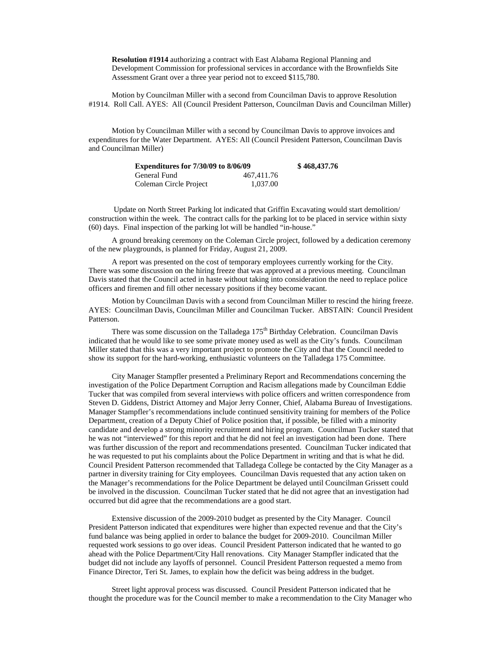**Resolution #1914** authorizing a contract with East Alabama Regional Planning and Development Commission for professional services in accordance with the Brownfields Site Assessment Grant over a three year period not to exceed \$115,780.

Motion by Councilman Miller with a second from Councilman Davis to approve Resolution #1914. Roll Call. AYES: All (Council President Patterson, Councilman Davis and Councilman Miller)

Motion by Councilman Miller with a second by Councilman Davis to approve invoices and expenditures for the Water Department. AYES: All (Council President Patterson, Councilman Davis and Councilman Miller)

| <b>Expenditures for 7/30/09 to 8/06/09</b> |            | \$468,437.76 |
|--------------------------------------------|------------|--------------|
| General Fund                               | 467.411.76 |              |
| Coleman Circle Project                     | 1.037.00   |              |

Update on North Street Parking lot indicated that Griffin Excavating would start demolition/ construction within the week. The contract calls for the parking lot to be placed in service within sixty (60) days. Final inspection of the parking lot will be handled "in-house."

A ground breaking ceremony on the Coleman Circle project, followed by a dedication ceremony of the new playgrounds, is planned for Friday, August 21, 2009.

A report was presented on the cost of temporary employees currently working for the City. There was some discussion on the hiring freeze that was approved at a previous meeting. Councilman Davis stated that the Council acted in haste without taking into consideration the need to replace police officers and firemen and fill other necessary positions if they become vacant.

Motion by Councilman Davis with a second from Councilman Miller to rescind the hiring freeze. AYES: Councilman Davis, Councilman Miller and Councilman Tucker. ABSTAIN: Council President Patterson.

There was some discussion on the Talladega 175<sup>th</sup> Birthday Celebration. Councilman Davis indicated that he would like to see some private money used as well as the City's funds. Councilman Miller stated that this was a very important project to promote the City and that the Council needed to show its support for the hard-working, enthusiastic volunteers on the Talladega 175 Committee.

City Manager Stampfler presented a Preliminary Report and Recommendations concerning the investigation of the Police Department Corruption and Racism allegations made by Councilman Eddie Tucker that was compiled from several interviews with police officers and written correspondence from Steven D. Giddens, District Attorney and Major Jerry Conner, Chief, Alabama Bureau of Investigations. Manager Stampfler's recommendations include continued sensitivity training for members of the Police Department, creation of a Deputy Chief of Police position that, if possible, be filled with a minority candidate and develop a strong minority recruitment and hiring program. Councilman Tucker stated that he was not "interviewed" for this report and that he did not feel an investigation had been done. There was further discussion of the report and recommendations presented. Councilman Tucker indicated that he was requested to put his complaints about the Police Department in writing and that is what he did. Council President Patterson recommended that Talladega College be contacted by the City Manager as a partner in diversity training for City employees. Councilman Davis requested that any action taken on the Manager's recommendations for the Police Department be delayed until Councilman Grissett could be involved in the discussion. Councilman Tucker stated that he did not agree that an investigation had occurred but did agree that the recommendations are a good start.

Extensive discussion of the 2009-2010 budget as presented by the City Manager. Council President Patterson indicated that expenditures were higher than expected revenue and that the City's fund balance was being applied in order to balance the budget for 2009-2010. Councilman Miller requested work sessions to go over ideas. Council President Patterson indicated that he wanted to go ahead with the Police Department/City Hall renovations. City Manager Stampfler indicated that the budget did not include any layoffs of personnel. Council President Patterson requested a memo from Finance Director, Teri St. James, to explain how the deficit was being address in the budget.

Street light approval process was discussed. Council President Patterson indicated that he thought the procedure was for the Council member to make a recommendation to the City Manager who